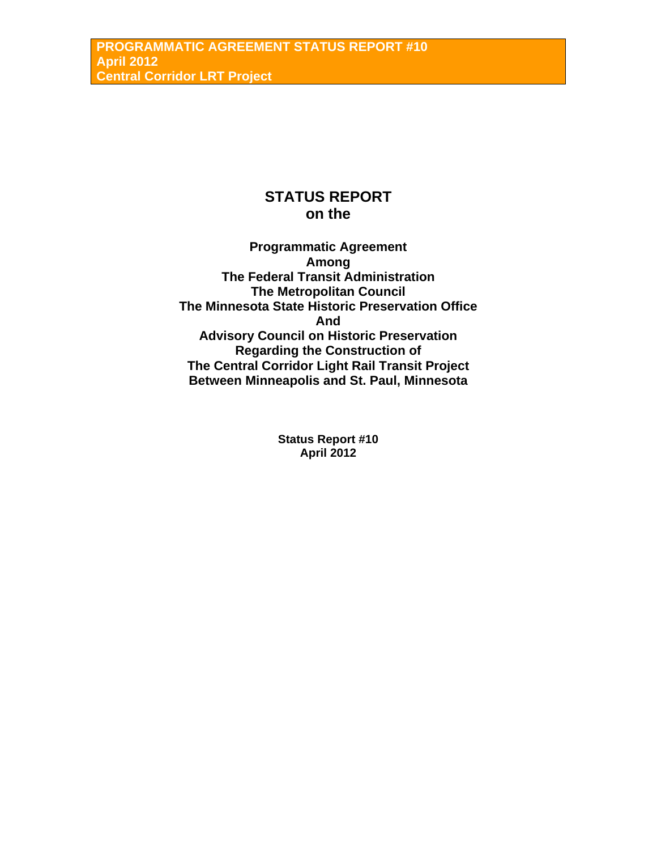# **STATUS REPORT on the**

**Programmatic Agreement Among The Federal Transit Administration The Metropolitan Council The Minnesota State Historic Preservation Office And Advisory Council on Historic Preservation Regarding the Construction of The Central Corridor Light Rail Transit Project Between Minneapolis and St. Paul, Minnesota** 

> **Status Report #10 April 2012**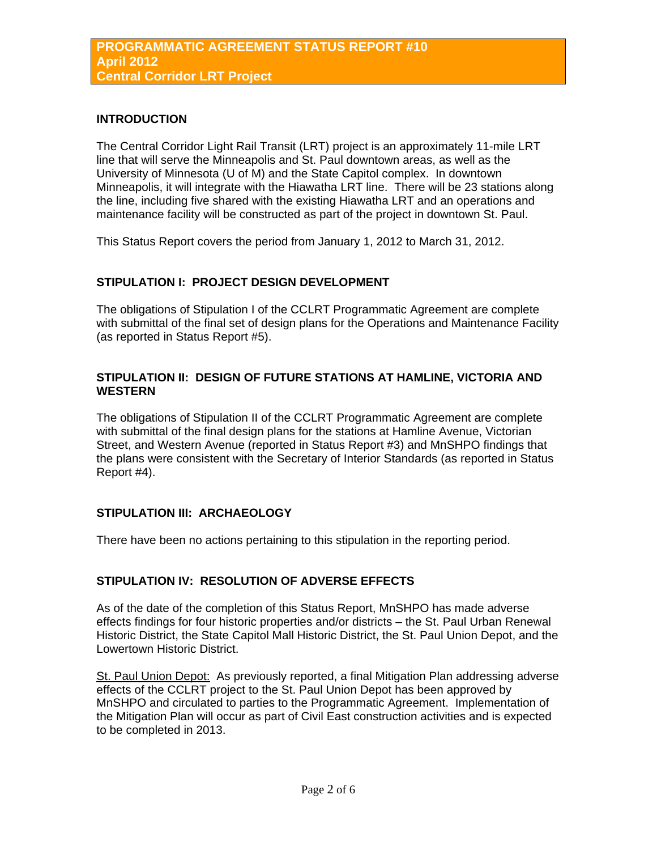### **INTRODUCTION**

The Central Corridor Light Rail Transit (LRT) project is an approximately 11-mile LRT line that will serve the Minneapolis and St. Paul downtown areas, as well as the University of Minnesota (U of M) and the State Capitol complex. In downtown Minneapolis, it will integrate with the Hiawatha LRT line. There will be 23 stations along the line, including five shared with the existing Hiawatha LRT and an operations and maintenance facility will be constructed as part of the project in downtown St. Paul.

This Status Report covers the period from January 1, 2012 to March 31, 2012.

## **STIPULATION I: PROJECT DESIGN DEVELOPMENT**

The obligations of Stipulation I of the CCLRT Programmatic Agreement are complete with submittal of the final set of design plans for the Operations and Maintenance Facility (as reported in Status Report #5).

## **STIPULATION II: DESIGN OF FUTURE STATIONS AT HAMLINE, VICTORIA AND WESTERN**

The obligations of Stipulation II of the CCLRT Programmatic Agreement are complete with submittal of the final design plans for the stations at Hamline Avenue, Victorian Street, and Western Avenue (reported in Status Report #3) and MnSHPO findings that the plans were consistent with the Secretary of Interior Standards (as reported in Status Report #4).

## **STIPULATION III: ARCHAEOLOGY**

There have been no actions pertaining to this stipulation in the reporting period.

## **STIPULATION IV: RESOLUTION OF ADVERSE EFFECTS**

As of the date of the completion of this Status Report, MnSHPO has made adverse effects findings for four historic properties and/or districts – the St. Paul Urban Renewal Historic District, the State Capitol Mall Historic District, the St. Paul Union Depot, and the Lowertown Historic District.

St. Paul Union Depot: As previously reported, a final Mitigation Plan addressing adverse effects of the CCLRT project to the St. Paul Union Depot has been approved by MnSHPO and circulated to parties to the Programmatic Agreement. Implementation of the Mitigation Plan will occur as part of Civil East construction activities and is expected to be completed in 2013.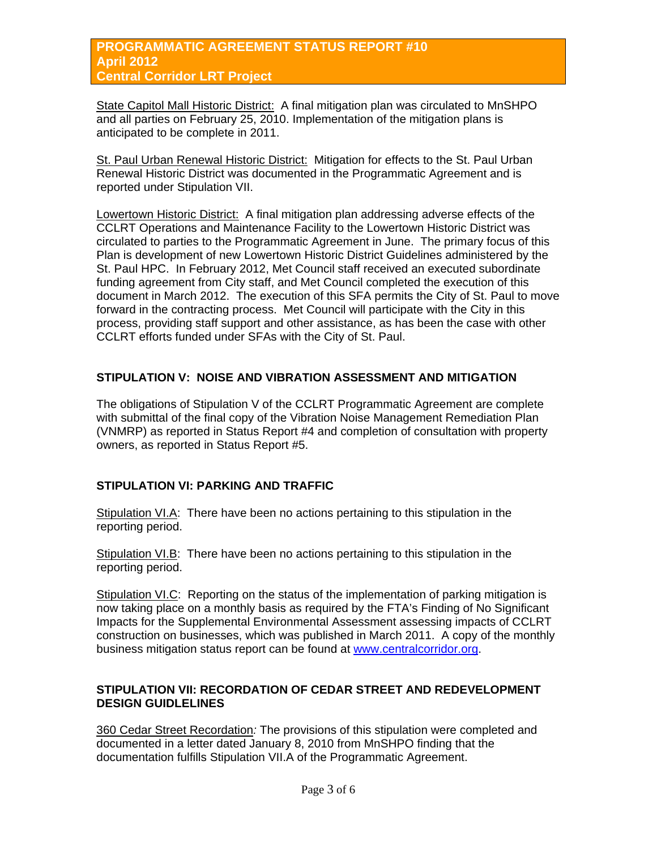## **PROGRAMMATIC AGREEMENT STATUS REPORT #10 April 2012 Central Corridor LRT Project**

State Capitol Mall Historic District: A final mitigation plan was circulated to MnSHPO and all parties on February 25, 2010. Implementation of the mitigation plans is anticipated to be complete in 2011.

St. Paul Urban Renewal Historic District: Mitigation for effects to the St. Paul Urban Renewal Historic District was documented in the Programmatic Agreement and is reported under Stipulation VII.

Lowertown Historic District: A final mitigation plan addressing adverse effects of the CCLRT Operations and Maintenance Facility to the Lowertown Historic District was circulated to parties to the Programmatic Agreement in June. The primary focus of this Plan is development of new Lowertown Historic District Guidelines administered by the St. Paul HPC. In February 2012, Met Council staff received an executed subordinate funding agreement from City staff, and Met Council completed the execution of this document in March 2012. The execution of this SFA permits the City of St. Paul to move forward in the contracting process. Met Council will participate with the City in this process, providing staff support and other assistance, as has been the case with other CCLRT efforts funded under SFAs with the City of St. Paul.

## **STIPULATION V: NOISE AND VIBRATION ASSESSMENT AND MITIGATION**

The obligations of Stipulation V of the CCLRT Programmatic Agreement are complete with submittal of the final copy of the Vibration Noise Management Remediation Plan (VNMRP) as reported in Status Report #4 and completion of consultation with property owners, as reported in Status Report #5.

## **STIPULATION VI: PARKING AND TRAFFIC**

Stipulation VI.A: There have been no actions pertaining to this stipulation in the reporting period.

Stipulation VI.B: There have been no actions pertaining to this stipulation in the reporting period.

Stipulation VI.C: Reporting on the status of the implementation of parking mitigation is now taking place on a monthly basis as required by the FTA's Finding of No Significant Impacts for the Supplemental Environmental Assessment assessing impacts of CCLRT construction on businesses, which was published in March 2011. A copy of the monthly business mitigation status report can be found at [www.centralcorridor.org.](http://www.centralcorridor.org/)

## **STIPULATION VII: RECORDATION OF CEDAR STREET AND REDEVELOPMENT DESIGN GUIDLELINES**

360 Cedar Street Recordation*:* The provisions of this stipulation were completed and documented in a letter dated January 8, 2010 from MnSHPO finding that the documentation fulfills Stipulation VII.A of the Programmatic Agreement.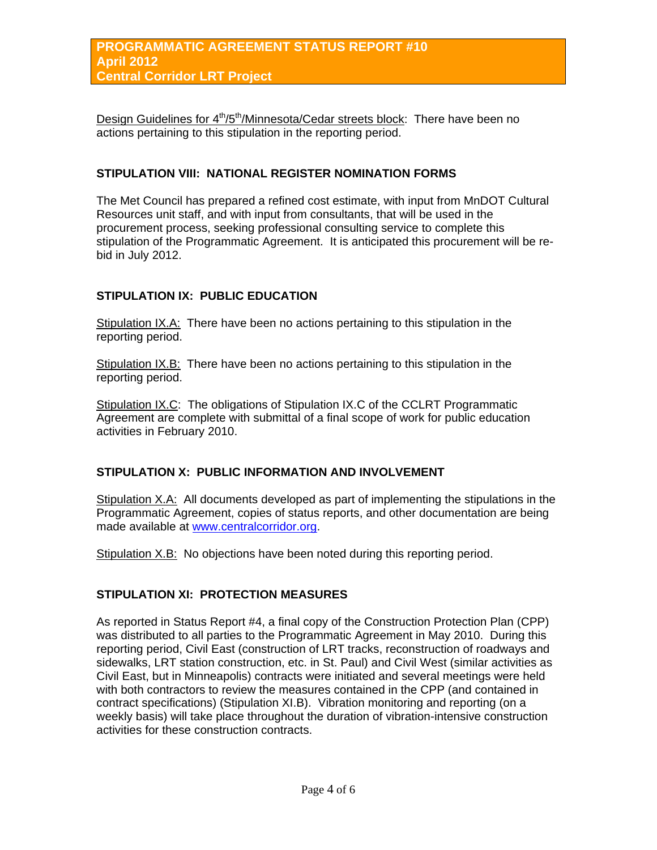Design Guidelines for 4<sup>th</sup>/5<sup>th</sup>/Minnesota/Cedar streets block: There have been no actions pertaining to this stipulation in the reporting period.

### **STIPULATION VIII: NATIONAL REGISTER NOMINATION FORMS**

The Met Council has prepared a refined cost estimate, with input from MnDOT Cultural Resources unit staff, and with input from consultants, that will be used in the procurement process, seeking professional consulting service to complete this stipulation of the Programmatic Agreement. It is anticipated this procurement will be rebid in July 2012.

## **STIPULATION IX: PUBLIC EDUCATION**

Stipulation IX.A: There have been no actions pertaining to this stipulation in the reporting period.

Stipulation IX.B: There have been no actions pertaining to this stipulation in the reporting period.

Stipulation IX.C: The obligations of Stipulation IX.C of the CCLRT Programmatic Agreement are complete with submittal of a final scope of work for public education activities in February 2010.

## **STIPULATION X: PUBLIC INFORMATION AND INVOLVEMENT**

Stipulation X.A: All documents developed as part of implementing the stipulations in the Programmatic Agreement, copies of status reports, and other documentation are being made available at [www.centralcorridor.org](http://www.centralcorridor.org/).

Stipulation X.B: No objections have been noted during this reporting period.

#### **STIPULATION XI: PROTECTION MEASURES**

As reported in Status Report #4, a final copy of the Construction Protection Plan (CPP) was distributed to all parties to the Programmatic Agreement in May 2010. During this reporting period, Civil East (construction of LRT tracks, reconstruction of roadways and sidewalks, LRT station construction, etc. in St. Paul) and Civil West (similar activities as Civil East, but in Minneapolis) contracts were initiated and several meetings were held with both contractors to review the measures contained in the CPP (and contained in contract specifications) (Stipulation XI.B). Vibration monitoring and reporting (on a weekly basis) will take place throughout the duration of vibration-intensive construction activities for these construction contracts.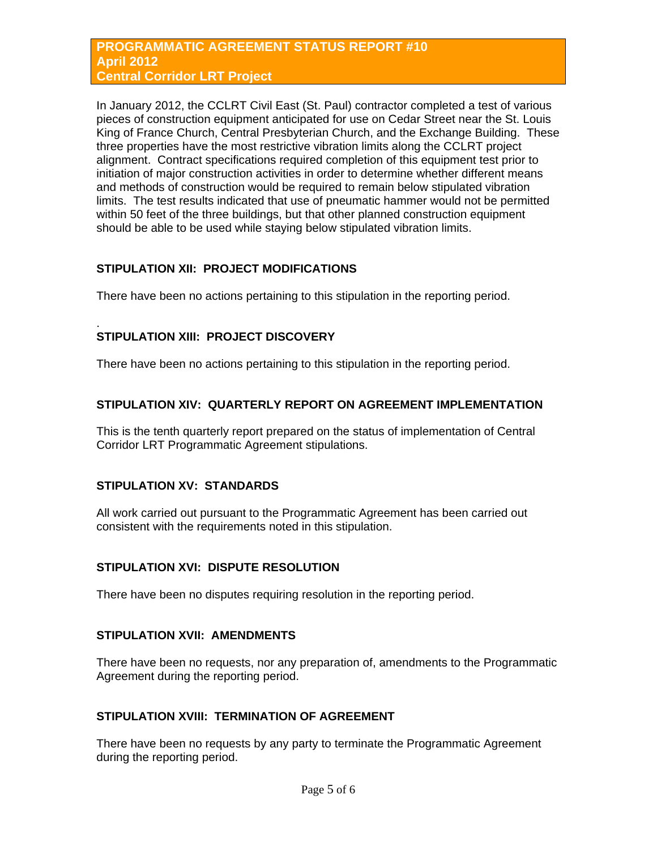### **PROGRAMMATIC AGREEMENT STATUS REPORT #10 April 2012 Central Corridor LRT Project**

In January 2012, the CCLRT Civil East (St. Paul) contractor completed a test of various pieces of construction equipment anticipated for use on Cedar Street near the St. Louis King of France Church, Central Presbyterian Church, and the Exchange Building. These three properties have the most restrictive vibration limits along the CCLRT project alignment. Contract specifications required completion of this equipment test prior to initiation of major construction activities in order to determine whether different means and methods of construction would be required to remain below stipulated vibration limits. The test results indicated that use of pneumatic hammer would not be permitted within 50 feet of the three buildings, but that other planned construction equipment should be able to be used while staying below stipulated vibration limits.

## **STIPULATION XII: PROJECT MODIFICATIONS**

There have been no actions pertaining to this stipulation in the reporting period.

#### . **STIPULATION XIII: PROJECT DISCOVERY**

There have been no actions pertaining to this stipulation in the reporting period.

## **STIPULATION XIV: QUARTERLY REPORT ON AGREEMENT IMPLEMENTATION**

This is the tenth quarterly report prepared on the status of implementation of Central Corridor LRT Programmatic Agreement stipulations.

## **STIPULATION XV: STANDARDS**

All work carried out pursuant to the Programmatic Agreement has been carried out consistent with the requirements noted in this stipulation.

## **STIPULATION XVI: DISPUTE RESOLUTION**

There have been no disputes requiring resolution in the reporting period.

## **STIPULATION XVII: AMENDMENTS**

There have been no requests, nor any preparation of, amendments to the Programmatic Agreement during the reporting period.

## **STIPULATION XVIII: TERMINATION OF AGREEMENT**

There have been no requests by any party to terminate the Programmatic Agreement during the reporting period.